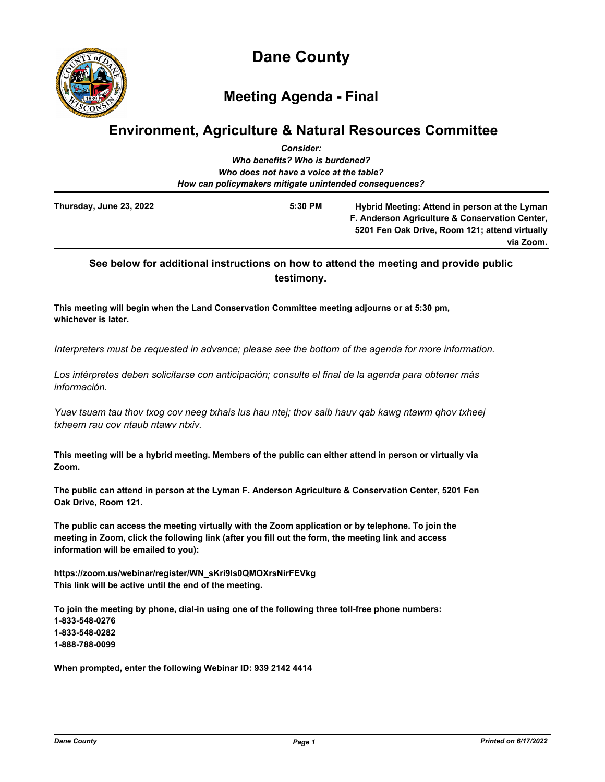

**Dane County**

# **Meeting Agenda - Final**

# **Environment, Agriculture & Natural Resources Committee**

|                                                        | <b>Consider:</b>                        |                                                |
|--------------------------------------------------------|-----------------------------------------|------------------------------------------------|
|                                                        | Who benefits? Who is burdened?          |                                                |
|                                                        | Who does not have a voice at the table? |                                                |
| How can policymakers mitigate unintended consequences? |                                         |                                                |
| Thursday, June 23, 2022                                | 5:30 PM                                 | Hybrid Meeting: Attend in person at the Lyman  |
|                                                        |                                         | F. Anderson Agriculture & Conservation Center, |
|                                                        |                                         | 5201 Fen Oak Drive, Room 121; attend virtually |
|                                                        |                                         | via Zoom.                                      |

# **See below for additional instructions on how to attend the meeting and provide public testimony.**

**This meeting will begin when the Land Conservation Committee meeting adjourns or at 5:30 pm, whichever is later.**

*Interpreters must be requested in advance; please see the bottom of the agenda for more information.*

*Los intérpretes deben solicitarse con anticipación; consulte el final de la agenda para obtener más información.*

*Yuav tsuam tau thov txog cov neeg txhais lus hau ntej; thov saib hauv qab kawg ntawm qhov txheej txheem rau cov ntaub ntawv ntxiv.*

**This meeting will be a hybrid meeting. Members of the public can either attend in person or virtually via Zoom.**

**The public can attend in person at the Lyman F. Anderson Agriculture & Conservation Center, 5201 Fen Oak Drive, Room 121.**

**The public can access the meeting virtually with the Zoom application or by telephone. To join the meeting in Zoom, click the following link (after you fill out the form, the meeting link and access information will be emailed to you):**

**https://zoom.us/webinar/register/WN\_sKri9ls0QMOXrsNirFEVkg This link will be active until the end of the meeting.**

**To join the meeting by phone, dial-in using one of the following three toll-free phone numbers: 1-833-548-0276 1-833-548-0282 1-888-788-0099**

**When prompted, enter the following Webinar ID: 939 2142 4414**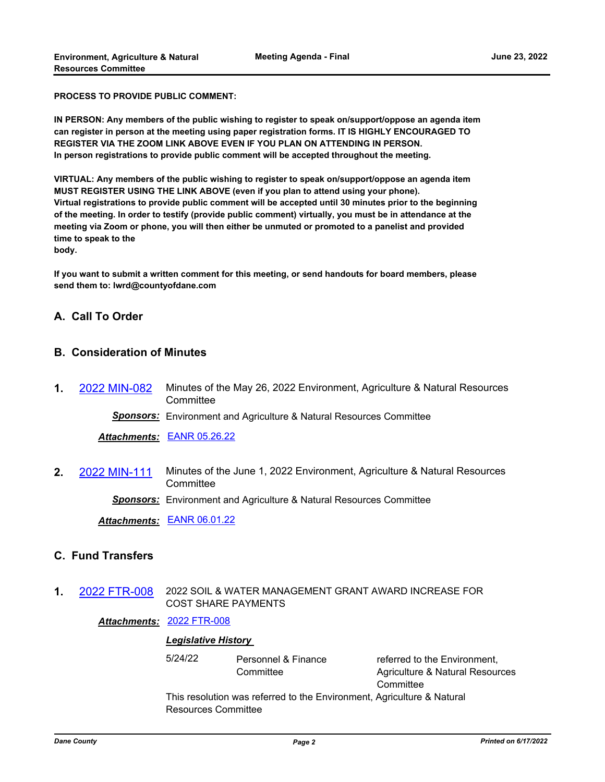**PROCESS TO PROVIDE PUBLIC COMMENT:**

**IN PERSON: Any members of the public wishing to register to speak on/support/oppose an agenda item can register in person at the meeting using paper registration forms. IT IS HIGHLY ENCOURAGED TO REGISTER VIA THE ZOOM LINK ABOVE EVEN IF YOU PLAN ON ATTENDING IN PERSON. In person registrations to provide public comment will be accepted throughout the meeting.**

**VIRTUAL: Any members of the public wishing to register to speak on/support/oppose an agenda item MUST REGISTER USING THE LINK ABOVE (even if you plan to attend using your phone). Virtual registrations to provide public comment will be accepted until 30 minutes prior to the beginning of the meeting. In order to testify (provide public comment) virtually, you must be in attendance at the meeting via Zoom or phone, you will then either be unmuted or promoted to a panelist and provided time to speak to the body.**

**If you want to submit a written comment for this meeting, or send handouts for board members, please send them to: lwrd@countyofdane.com**

# **A. Call To Order**

#### **B. Consideration of Minutes**

**1.** [2022 MIN-082](http://dane.legistar.com/gateway.aspx?m=l&id=/matter.aspx?key=22981) Minutes of the May 26, 2022 Environment, Agriculture & Natural Resources **Committee** 

*Sponsors:* Environment and Agriculture & Natural Resources Committee

*Attachments:* [EANR 05.26.22](http://dane.legistar.com/gateway.aspx?M=F&ID=938ef05a-adba-4cf2-824e-0d5bf40be96a.pdf)

**2.** [2022 MIN-111](http://dane.legistar.com/gateway.aspx?m=l&id=/matter.aspx?key=23071) Minutes of the June 1, 2022 Environment, Agriculture & Natural Resources **Committee** 

*Sponsors:* Environment and Agriculture & Natural Resources Committee

*Attachments:* [EANR 06.01.22](http://dane.legistar.com/gateway.aspx?M=F&ID=50f33750-89bf-45d3-ad84-1348de962f81.pdf)

# **C. Fund Transfers**

**1.** [2022 FTR-008](http://dane.legistar.com/gateway.aspx?m=l&id=/matter.aspx?key=22931) 2022 SOIL & WATER MANAGEMENT GRANT AWARD INCREASE FOR COST SHARE PAYMENTS

#### *Attachments:* [2022 FTR-008](http://dane.legistar.com/gateway.aspx?M=F&ID=2201f7e4-1c8c-4529-bda8-065aa42256e0.pdf)

#### *Legislative History*

5/24/22 Personnel & Finance **Committee** 

referred to the Environment, Agriculture & Natural Resources **Committee** 

This resolution was referred to the Environment, Agriculture & Natural Resources Committee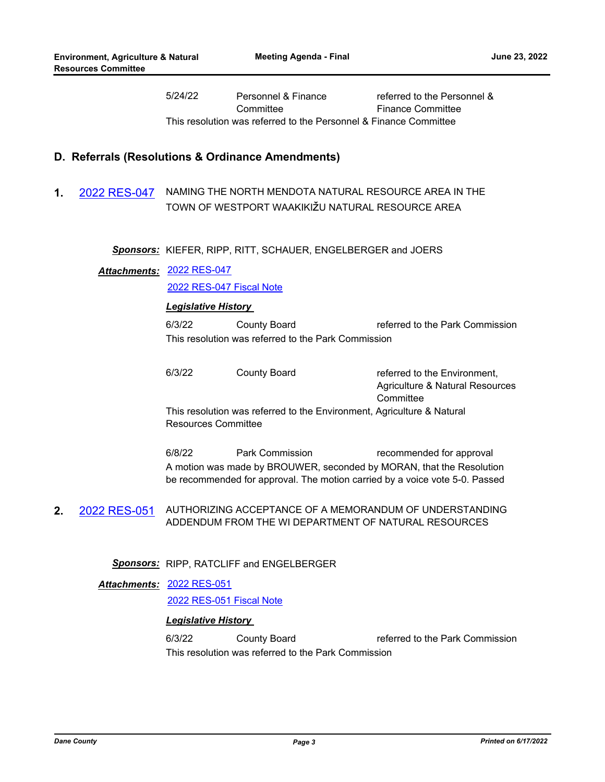5/24/22 Personnel & Finance **Committee** referred to the Personnel & Finance Committee This resolution was referred to the Personnel & Finance Committee

#### **D. Referrals (Resolutions & Ordinance Amendments)**

**1.** [2022 RES-047](http://dane.legistar.com/gateway.aspx?m=l&id=/matter.aspx?key=22906) NAMING THE NORTH MENDOTA NATURAL RESOURCE AREA IN THE TOWN OF WESTPORT WAAKIKIŽU NATURAL RESOURCE AREA

#### *Sponsors:* KIEFER, RIPP, RITT, SCHAUER, ENGELBERGER and JOERS

#### [2022 RES-047](http://dane.legistar.com/gateway.aspx?M=F&ID=e5868aa8-492c-4bde-8671-ffc58ad98b08.pdf) *Attachments:*

[2022 RES-047 Fiscal Note](http://dane.legistar.com/gateway.aspx?M=F&ID=1fdb5112-4633-4631-98db-705c032cb066.pdf)

#### *Legislative History*

6/3/22 County Board referred to the Park Commission This resolution was referred to the Park Commission

| 6/3/22 | County Board | referred to the Environment.                                           |
|--------|--------------|------------------------------------------------------------------------|
|        |              | Agriculture & Natural Resources                                        |
|        |              | Committee                                                              |
|        |              | This resolution was referred to the Environment, Agriculture & Natural |
|        |              |                                                                        |

Resources Committee

6/8/22 Park Commission recommended for approval A motion was made by BROUWER, seconded by MORAN, that the Resolution be recommended for approval. The motion carried by a voice vote 5-0. Passed

**2.** [2022 RES-051](http://dane.legistar.com/gateway.aspx?m=l&id=/matter.aspx?key=22930) AUTHORIZING ACCEPTANCE OF A MEMORANDUM OF UNDERSTANDING ADDENDUM FROM THE WI DEPARTMENT OF NATURAL RESOURCES

#### *Sponsors:* RIPP, RATCLIFF and ENGELBERGER

#### [2022 RES-051](http://dane.legistar.com/gateway.aspx?M=F&ID=3ba87851-46b6-4012-8a0c-82ec580ff5bb.pdf) *Attachments:*

[2022 RES-051 Fiscal Note](http://dane.legistar.com/gateway.aspx?M=F&ID=eb98a609-d31c-475b-a267-39baff6f7d5a.pdf)

#### *Legislative History*

6/3/22 County Board referred to the Park Commission This resolution was referred to the Park Commission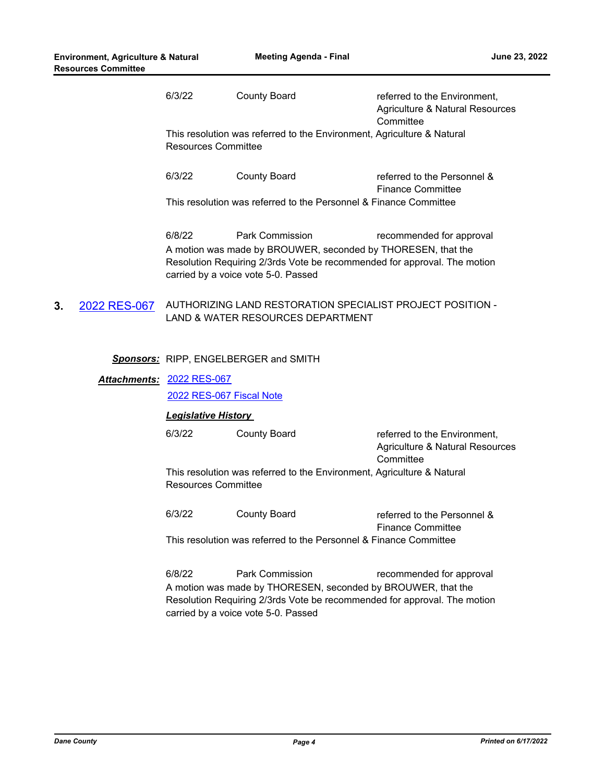| 6/3/22 | County Board                                                      | referred to the Environment,<br>Agriculture & Natural Resources<br>Committee |
|--------|-------------------------------------------------------------------|------------------------------------------------------------------------------|
|        | <b>Resources Committee</b>                                        | This resolution was referred to the Environment, Agriculture & Natural       |
| 6/3/22 | County Board                                                      | referred to the Personnel &<br><b>Finance Committee</b>                      |
|        | This resolution was referred to the Personnel & Finance Committee |                                                                              |

6/8/22 Park Commission recommended for approval A motion was made by BROUWER, seconded by THORESEN, that the Resolution Requiring 2/3rds Vote be recommended for approval. The motion carried by a voice vote 5-0. Passed

**3.** [2022 RES-067](http://dane.legistar.com/gateway.aspx?m=l&id=/matter.aspx?key=23002) AUTHORIZING LAND RESTORATION SPECIALIST PROJECT POSITION - LAND & WATER RESOURCES DEPARTMENT

#### *Sponsors:* RIPP, ENGELBERGER and SMITH

# [2022 RES-067](http://dane.legistar.com/gateway.aspx?M=F&ID=645dfe60-5013-4b37-8c7b-9a2bef1c3b6c.pdf) *Attachments:*

[2022 RES-067 Fiscal Note](http://dane.legistar.com/gateway.aspx?M=F&ID=f612cab2-3121-4b15-b526-b7306ab4aabd.pdf)

#### *Legislative History*

6/3/22 County Board referred to the Environment, Agriculture & Natural Resources **Committee** This resolution was referred to the Environment, Agriculture & Natural Resources Committee

6/3/22 County Board referred to the Personnel & Finance Committee

This resolution was referred to the Personnel & Finance Committee

6/8/22 Park Commission recommended for approval A motion was made by THORESEN, seconded by BROUWER, that the Resolution Requiring 2/3rds Vote be recommended for approval. The motion carried by a voice vote 5-0. Passed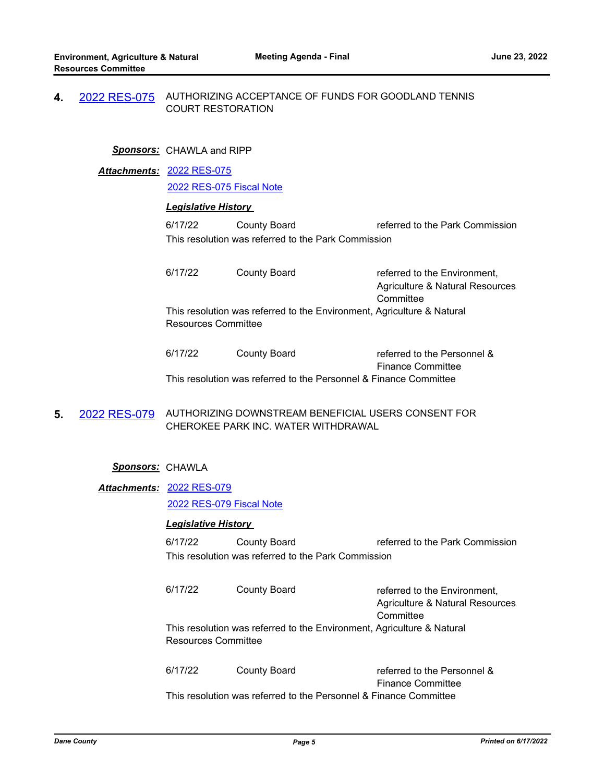## **4.** [2022 RES-075](http://dane.legistar.com/gateway.aspx?m=l&id=/matter.aspx?key=23066) AUTHORIZING ACCEPTANCE OF FUNDS FOR GOODLAND TENNIS COURT RESTORATION

#### *Sponsors:* CHAWLA and RIPP

[2022 RES-075](http://dane.legistar.com/gateway.aspx?M=F&ID=65a191fd-7654-4a84-9c1a-45b4470f42b2.pdf) *Attachments:*

[2022 RES-075 Fiscal Note](http://dane.legistar.com/gateway.aspx?M=F&ID=58ebd6d7-894b-4a34-83f6-4dcd92775bd0.pdf)

#### *Legislative History*

6/17/22 County Board referred to the Park Commission This resolution was referred to the Park Commission

6/17/22 County Board referred to the Environment. Agriculture & Natural Resources **Committee** This resolution was referred to the Environment, Agriculture & Natural Resources Committee

| 6/17/22 | County Board | referred to the Personnel &                                        |
|---------|--------------|--------------------------------------------------------------------|
|         |              | <b>Finance Committee</b>                                           |
|         |              | This resolution was referred to the Personnel & Finance Committee. |

**5.** [2022 RES-079](http://dane.legistar.com/gateway.aspx?m=l&id=/matter.aspx?key=23086) AUTHORIZING DOWNSTREAM BENEFICIAL USERS CONSENT FOR CHEROKEE PARK INC. WATER WITHDRAWAL

#### *Sponsors:* CHAWLA

[2022 RES-079](http://dane.legistar.com/gateway.aspx?M=F&ID=84cda65c-f66f-45da-8a98-bf44fc5c2108.pdf) *Attachments:* [2022 RES-079 Fiscal Note](http://dane.legistar.com/gateway.aspx?M=F&ID=5581d2be-09ed-437f-ac69-ac3899c3c23c.pdf)

#### *Legislative History*

6/17/22 County Board referred to the Park Commission This resolution was referred to the Park Commission

| 6/17/22             | County Board | referred to the Environment,                                           |
|---------------------|--------------|------------------------------------------------------------------------|
|                     |              | Agriculture & Natural Resources                                        |
|                     |              | Committee                                                              |
|                     |              | This resolution was referred to the Environment, Agriculture & Natural |
| Resources Committee |              |                                                                        |
|                     |              |                                                                        |

6/17/22 County Board referred to the Personnel & Finance Committee This resolution was referred to the Personnel & Finance Committee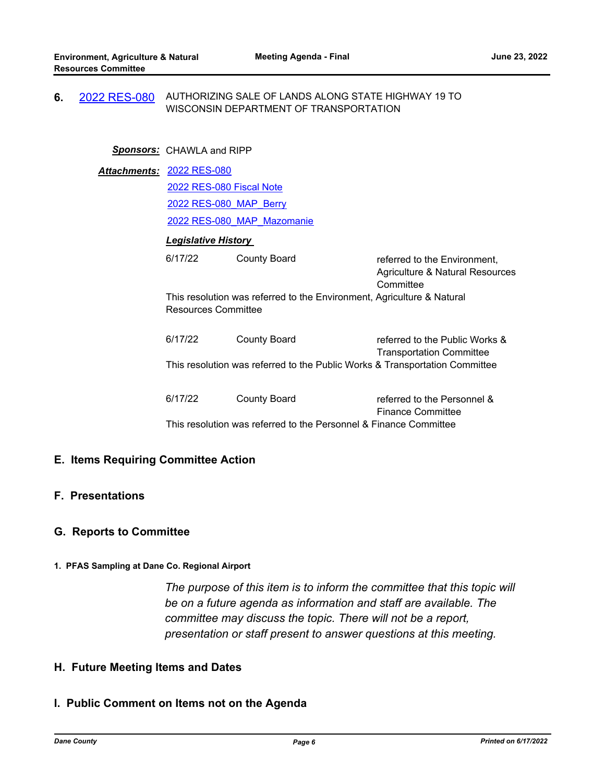**6.** [2022 RES-080](http://dane.legistar.com/gateway.aspx?m=l&id=/matter.aspx?key=23087) AUTHORIZING SALE OF LANDS ALONG STATE HIGHWAY 19 TO WISCONSIN DEPARTMENT OF TRANSPORTATION

#### *Sponsors:* CHAWLA and RIPP

|  | Attachments: 2022 RES-080                                                                                      |                     |                                                                              |  |  |
|--|----------------------------------------------------------------------------------------------------------------|---------------------|------------------------------------------------------------------------------|--|--|
|  | 2022 RES-080 Fiscal Note                                                                                       |                     |                                                                              |  |  |
|  | 2022 RES-080 MAP Berry                                                                                         |                     |                                                                              |  |  |
|  | 2022 RES-080 MAP Mazomanie                                                                                     |                     |                                                                              |  |  |
|  | <b>Legislative History</b>                                                                                     |                     |                                                                              |  |  |
|  | 6/17/22                                                                                                        | County Board        | referred to the Environment,<br>Agriculture & Natural Resources<br>Committee |  |  |
|  | This resolution was referred to the Environment, Agriculture & Natural<br><b>Resources Committee</b>           |                     |                                                                              |  |  |
|  | 6/17/22                                                                                                        | <b>County Board</b> | referred to the Public Works &                                               |  |  |
|  | <b>Transportation Committee</b><br>This resolution was referred to the Public Works & Transportation Committee |                     |                                                                              |  |  |
|  | 6/17/22                                                                                                        | <b>County Board</b> | referred to the Personnel &<br><b>Finance Committee</b>                      |  |  |
|  | This resolution was referred to the Personnel & Finance Committee                                              |                     |                                                                              |  |  |

# **E. Items Requiring Committee Action**

# **F. Presentations**

## **G. Reports to Committee**

#### **1. PFAS Sampling at Dane Co. Regional Airport**

*The purpose of this item is to inform the committee that this topic will be on a future agenda as information and staff are available. The committee may discuss the topic. There will not be a report, presentation or staff present to answer questions at this meeting.*

# **H. Future Meeting Items and Dates**

# **I. Public Comment on Items not on the Agenda**